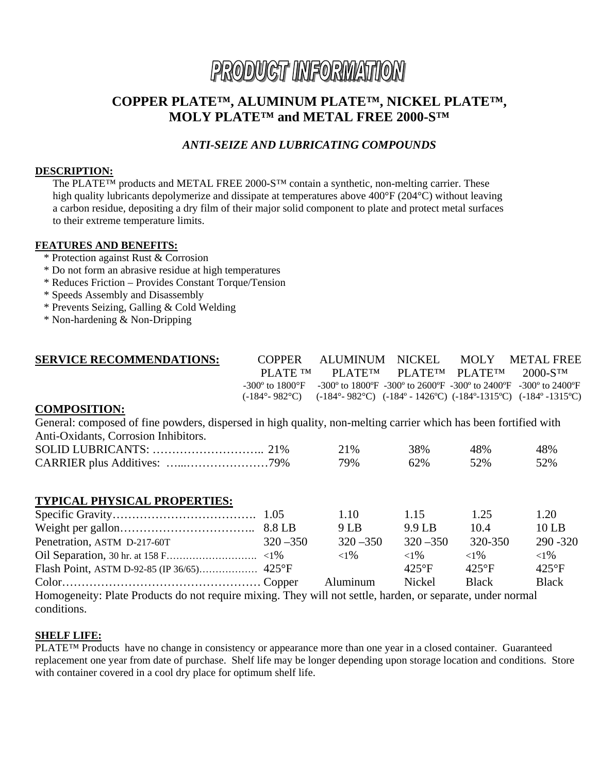# PRODUCT INFORMATION

## **COPPER PLATE™, ALUMINUM PLATE™, NICKEL PLATE™, MOLY PLATE™ and METAL FREE 2000-S™**

## *ANTI-SEIZE AND LUBRICATING COMPOUNDS*

#### **DESCRIPTION:**

The PLATE™ products and METAL FREE 2000-S™ contain a synthetic, non-melting carrier. These high quality lubricants depolymerize and dissipate at temperatures above 400°F (204°C) without leaving a carbon residue, depositing a dry film of their major solid component to plate and protect metal surfaces to their extreme temperature limits.

#### **FEATURES AND BENEFITS:**

- \* Protection against Rust & Corrosion
- \* Do not form an abrasive residue at high temperatures
- \* Reduces Friction Provides Constant Torque/Tension
- \* Speeds Assembly and Disassembly
- \* Prevents Seizing, Galling & Cold Welding
- \* Non-hardening & Non-Dripping

| <b>SERVICE RECOMMENDATIONS:</b> | COPPER |                                           | ALUMINUM NICKEL MOLY METALFREE                                                                                                                                                 |
|---------------------------------|--------|-------------------------------------------|--------------------------------------------------------------------------------------------------------------------------------------------------------------------------------|
|                                 |        | PLATE TM PLATETM PLATETM PLATETM 2000-STM |                                                                                                                                                                                |
|                                 |        |                                           | $-300^{\circ}$ to $1800^{\circ}$ F $-300^{\circ}$ to $1800^{\circ}$ F $-300^{\circ}$ to $2600^{\circ}$ F $-300^{\circ}$ to $2400^{\circ}$ F $-300^{\circ}$ to $2400^{\circ}$ F |
|                                 |        |                                           | $(-184^{\circ} - 982^{\circ}C)$ $(-184^{\circ} - 982^{\circ}C)$ $(-184^{\circ} - 1426^{\circ}C)$ $(-184^{\circ} - 1315^{\circ}C)$ $(-184^{\circ} - 1315^{\circ}C)$             |
| <b>COMPOSITION:</b>             |        |                                           |                                                                                                                                                                                |

#### **COMPOSITION:**

General: composed of fine powders, dispersed in high quality, non-melting carrier which has been fortified with Anti-Oxidants, Corrosion Inhibitors.

|  | 21% | 38% | 48% | 48% |
|--|-----|-----|-----|-----|
|  | 79% | 62% | 52% | 52% |

#### **TYPICAL PHYSICAL PROPERTIES:**

|                                                                                                         |             | 1.10        | 1.15           | 1.25     | 1.20           |  |
|---------------------------------------------------------------------------------------------------------|-------------|-------------|----------------|----------|----------------|--|
|                                                                                                         |             | 9 L B       | 9.9 LB         | 10.4     | $10$ LB        |  |
| Penetration, ASTM D-217-60T                                                                             | $320 - 350$ | $320 - 350$ | $320 - 350$    | 320-350  | $290 - 320$    |  |
|                                                                                                         |             | ${<}1\%$    | ${<}1\%$       | ${<}1\%$ | ${<}1\%$       |  |
|                                                                                                         |             |             | $425^{\circ}F$ | $425$ °F | $425^{\circ}F$ |  |
|                                                                                                         |             | Aluminum    | Nickel         | Black    | <b>Black</b>   |  |
| Homogeneity: Plate Products do not require mixing. They will not settle harden or senarate under normal |             |             |                |          |                |  |

Homogeneity: Plate Products do not require mixing. They will not settle, harden, or separate, under normal conditions.

#### **SHELF LIFE:**

PLATE™ Products have no change in consistency or appearance more than one year in a closed container. Guaranteed replacement one year from date of purchase. Shelf life may be longer depending upon storage location and conditions. Store with container covered in a cool dry place for optimum shelf life.